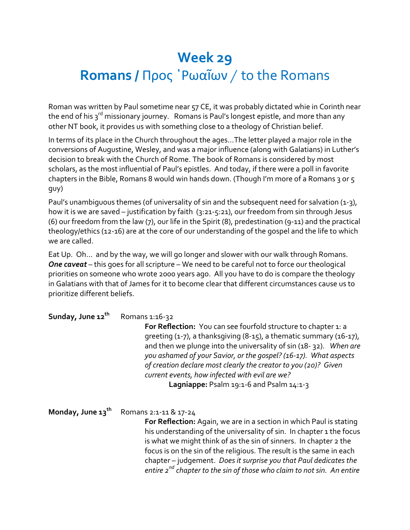## **Week 29 Romans /** Προς ῾Ρωαῖων / to the Romans

Roman was written by Paul sometime near 57 CE, it was probably dictated whie in Corinth near the end of his 3<sup>rd</sup> missionary journey. Romans is Paul's longest epistle, and more than any other NT book, it provides us with something close to a theology of Christian belief.

In terms of its place in the Church throughout the ages…The letter played a major role in the conversions of Augustine, Wesley, and was a major influence (along with Galatians) in Luther's decision to break with the Church of Rome. The book of Romans is considered by most scholars, as the most influential of Paul's epistles. And today, if there were a poll in favorite chapters in the Bible, Romans 8 would win hands down. (Though I'm more of a Romans 3 or 5 guy)

Paul's unambiguous themes (of universality of sin and the subsequent need for salvation (1-3), how it is we are saved - justification by faith (3:21-5:21), our freedom from sin through Jesus (6) our freedom from the law (7), our life in the Spirit (8), predestination (9-11) and the practical theology/ethics (12-16) are at the core of our understanding of the gospel and the life to which we are called.

Eat Up. Oh… and by the way, we will go longer and slower with our walk through Romans. *One caveat* – this goes for all scripture – We need to be careful not to force our theological priorities on someone who wrote 2000 years ago. All you have to do is compare the theology in Galatians with that of James for it to become clear that different circumstances cause us to prioritize different beliefs.

| Sunday, June 12 <sup>th</sup> | Romans 1:16-32<br>For Reflection: You can see fourfold structure to chapter 1: a<br>greeting $(1-7)$ , a thanksgiving $(8-15)$ , a thematic summary $(16-17)$ ,<br>and then we plunge into the universality of sin (18-32). When are<br>you ashamed of your Savior, or the gospel? (16-17). What aspects<br>of creation declare most clearly the creator to you (20)? Given<br>current events, how infected with evil are we?<br>Lagniappe: Psalm 19:1-6 and Psalm 14:1-3 |
|-------------------------------|---------------------------------------------------------------------------------------------------------------------------------------------------------------------------------------------------------------------------------------------------------------------------------------------------------------------------------------------------------------------------------------------------------------------------------------------------------------------------|
| Monday, June 13 <sup>th</sup> | Romans 2:1-11 & 17-24<br>For Reflection: Again, we are in a section in which Paul is stating<br>his understanding of the universality of sin. In chapter 1 the focus<br>is what we might think of as the sin of sinners. In chapter 2 the<br>focus is on the sin of the religious. The result is the same in each<br>chapter - judgement. Does it surprise you that Paul dedicates the<br>entire $2^{nd}$ chapter to the sin of those who claim to not sin. An entire     |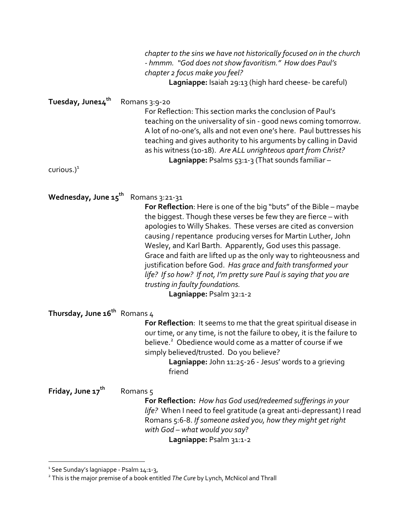|                                                         | chapter to the sins we have not historically focused on in the church<br>- hmmm. "God does not show favoritism." How does Paul's<br>chapter 2 focus make you feel?<br>Lagniappe: Isaiah 29:13 (high hard cheese- be careful)                                                                                                                                                                                                                                                                                                                                                                                                           |
|---------------------------------------------------------|----------------------------------------------------------------------------------------------------------------------------------------------------------------------------------------------------------------------------------------------------------------------------------------------------------------------------------------------------------------------------------------------------------------------------------------------------------------------------------------------------------------------------------------------------------------------------------------------------------------------------------------|
| Tuesday, June14 <sup>th</sup><br>curious.) <sup>1</sup> | Romans 3:9-20<br>For Reflection: This section marks the conclusion of Paul's<br>teaching on the universality of sin - good news coming tomorrow.<br>A lot of no-one's, alls and not even one's here. Paul buttresses his<br>teaching and gives authority to his arguments by calling in David<br>as his witness (10-18). Are ALL unrighteous apart from Christ?<br>Lagniappe: Psalms 53:1-3 (That sounds familiar -                                                                                                                                                                                                                    |
| Wednesday, June 15 <sup>th</sup>                        | Romans 3:21-31<br>For Reflection: Here is one of the big "buts" of the Bible - maybe<br>the biggest. Though these verses be few they are fierce – with<br>apologies to Willy Shakes. These verses are cited as conversion<br>causing / repentance producing verses for Martin Luther, John<br>Wesley, and Karl Barth. Apparently, God uses this passage.<br>Grace and faith are lifted up as the only way to righteousness and<br>justification before God. Has grace and faith transformed your<br>life? If so how? If not, I'm pretty sure Paul is saying that you are<br>trusting in faulty foundations.<br>Lagniappe: Psalm 32:1-2 |
| Thursday, June $16^{th}$ Romans 4                       | For Reflection: It seems to me that the great spiritual disease in<br>our time, or any time, is not the failure to obey, it is the failure to<br>believe. <sup>2</sup> Obedience would come as a matter of course if we<br>simply believed/trusted. Do you believe?<br>Lagniappe: John 11:25-26 - Jesus' words to a grieving<br>friend                                                                                                                                                                                                                                                                                                 |
| Friday, June 17 <sup>th</sup>                           | Romans <sub>5</sub><br>For Reflection: How has God used/redeemed sufferings in your<br>life? When I need to feel gratitude (a great anti-depressant) I read<br>Romans 5:6-8. If someone asked you, how they might get right<br>with God - what would you say?<br>Lagniappe: Psalm 31:1-2                                                                                                                                                                                                                                                                                                                                               |

<sup>&</sup>lt;sup>1</sup> See Sunday's lagniappe - Psalm 14:1-3,

<sup>2</sup> This is the major premise of a book entitled *The Cure* by Lynch, McNicol and Thrall